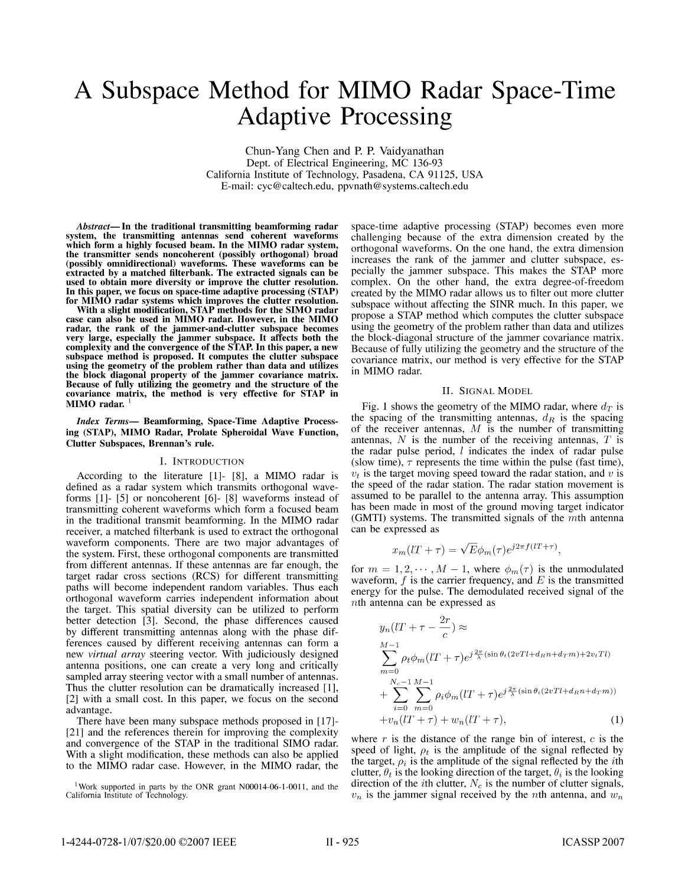# A Subspace Method for MIMO Radar Space-Time Adaptive Processing

Chun-Yang Chen and P. P. Vaidyanathan Dept. of Electrical Engineering, MC 136-93 California Institute of Technology, Pasadena, CA 91125, USA E-mail: cyc@caltech.edu, ppvnath@ systems.caltech.edu

Abstract- In the traditional transmitting beamforming radar system, the transmitting antennas send coherent waveforms which form <sup>a</sup> highly focused beam. In the MIMO radar system, the transmitter sends noncoherent (possibly orthogonal) broad (possibly omnidirectional) waveforms. These waveforms can be extracted by a matched filterbank. The extracted signals can be used to obtain more diversity or improve the clutter resolution. In this paper, we focus on space-time adaptive processing (STAP) for MIMO radar systems which improves the clutter resolution.

With a slight modification, STAP methods for the SIMO radar case can also be used in MIMO radar. However, in the MIMO radar, the rank of the jammer-and-clutter subspace becomes very large, especially the jammer subspace. It affects both the complexity and the convergence of the STAP. In this paper, a new subspace method is proposed. It computes the clutter subspace using the geometry of the problem rather than data and utilizes the block diagonal property of the jammer covariance matrix. Because of fully utilizing the geometry and the structure of the covariance matrix, the method is very effective for STAP in MIMO radar.

Index Terms- Beamforming, Space-Time Adaptive Processing (STAP), MIMO Radar, Prolate Spheroidal Wave Function, Clutter Subspaces, Brennan's rule.

### I. INTRODUCTION

According to the literature [1]- [8], <sup>a</sup> MIMO radar is defined as a radar system which transmits orthogonal waveforms [1]- [5] or noncoherent [6]- [8] waveforms instead of transmitting coherent waveforms which form a focused beam in the traditional transmit beamforming. In the MIMO radar receiver, a matched filterbank is used to extract the orthogonal waveform components. There are two major advantages of the system. First, these orthogonal components are transmitted from different antennas. If these antennas are far enough, the target radar cross sections (RCS) for different transmitting paths will become independent random variables. Thus each orthogonal waveform carries independent information about the target. This spatial diversity can be utilized to perform better detection [3]. Second, the phase differences caused by different transmitting antennas along with the phase differences caused by different receiving antennas can form a new virtual array steering vector. With judiciously designed antenna positions, one can create a very long and critically sampled array steering vector with a small number of antennas. Thus the clutter resolution can be dramatically increased [1], [2] with a small cost. In this paper, we focus on the second advantage.

There have been many subspace methods proposed in [17]- [21] and the references therein for improving the complexity and convergence of the STAP in the traditional SIMO radar. With a slight modification, these methods can also be applied to the MIMO radar case. However, in the MIMO radar, the

<sup>1</sup> Work supported in parts by the ONR grant N00014-06-1-0011, and the California Institute of Technology.

space-time adaptive processing (STAP) becomes even more challenging because of the extra dimension created by the orthogonal waveforms. On the one hand, the extra dimension increases the rank of the jammer and clutter subspace, especially the jammer subspace. This makes the STAP more complex. On the other hand, the extra degree-of-freedom created by the MIMO radar allows us to filter out more clutter subspace without affecting the SINR much. In this paper, we propose a STAP method which computes the clutter subspace using the geometry of the problem rather than data and utilizes the block-diagonal structure of the jammer covariance matrix. Because of fully utilizing the geometry and the structure of the covariance matrix, our method is very effective for the STAP in MIMO radar.

#### II. SIGNAL MODEL

Fig. 1 shows the geometry of the MIMO radar, where  $d_T$  is the spacing of the transmitting antennas,  $d_R$  is the spacing of the receiver antennas,  $M$  is the number of transmitting antennas,  $N$  is the number of the receiving antennas,  $T$  is the radar pulse period, <sup>I</sup> indicates the index of radar pulse (slow time),  $\tau$  represents the time within the pulse (fast time),  $v_t$  is the target moving speed toward the radar station, and v is the speed of the radar station. The radar station movement is assumed to be parallel to the antenna array. This assumption has been made in most of the ground moving target indicator (GMTI) systems. The transmitted signals of the  $m$ th antenna can be expressed as

$$
x_m(lT + \tau) = \sqrt{E}\phi_m(\tau)e^{j2\pi f(lT + \tau)},
$$

for  $m = 1, 2, \dots, M - 1$ , where  $\phi_m(\tau)$  is the unmodulated waveform,  $f$  is the carrier frequency, and  $E$  is the transmitted energy for the pulse. The demodulated received signal of the nth antenna can be expressed as

$$
y_n(IT + \tau - \frac{2r}{c}) \approx
$$
  
\n
$$
\sum_{m=0}^{M-1} \rho_t \phi_m(IT + \tau) e^{j\frac{2\pi}{\lambda}(\sin\theta_t(2vTl + d_Rn + d_Tm) + 2v_tTl)}
$$
  
\n
$$
+ \sum_{i=0}^{N_c-1} \sum_{m=0}^{M-1} \rho_i \phi_m(IT + \tau) e^{j\frac{2\pi}{\lambda}(\sin\theta_i(2vTl + d_Rn + d_Tm))}
$$
  
\n
$$
+ v_n(IT + \tau) + w_n(IT + \tau),
$$
\n(1)

where  $r$  is the distance of the range bin of interest,  $c$  is the speed of light,  $\rho_t$  is the amplitude of the signal reflected by the target,  $\rho_i$  is the amplitude of the signal reflected by the *i*th clutter,  $\theta_t$  is the looking direction of the target,  $\theta_i$  is the looking direction of the *i*th clutter,  $N_c$  is the number of clutter signals,  $v_n$  is the jammer signal received by the nth antenna, and  $w_n$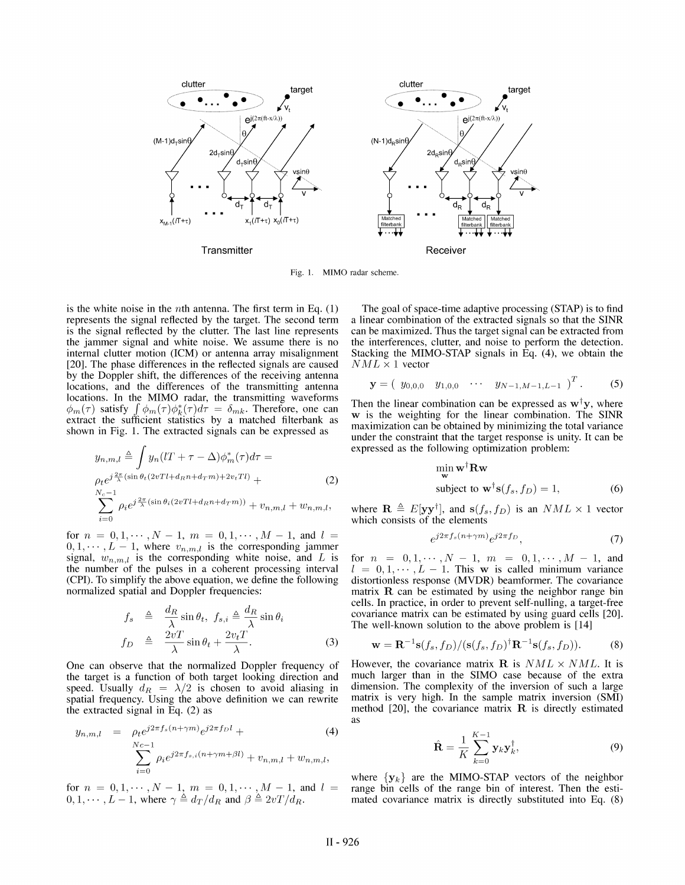

Fig. 1. MIMO radar scheme.

is the white noise in the *n*th antenna. The first term in Eq.  $(1)$ represents the signal reflected by the target. The second term is the signal reflected by the clutter. The last line represents the jammer signal and white noise. We assume there is no internal clutter motion (ICM) or antenna array misalignment [20]. The phase differences in the reflected signals are caused by the Doppler shift, the differences of the receiving antenna locations, and the differences of the transmitting antenna locations. In the MIMO radar, the transmitting waveforms  $\phi_m(\tau)$  satisfy  $\int \phi_m(\tau) \phi_k^*(\tau) d\tau = \delta_{mk}$ . Therefore, one can extract the sufficient statistics by a matched filterbank as shown in Fig. 1. The extracted signals can be expressed as

$$
y_{n,m,l} \triangleq \int y_n (lT + \tau - \Delta) \phi_m^*(\tau) d\tau =
$$
  
\n
$$
\rho_t e^{j\frac{2\pi}{\lambda} (\sin \theta_t (2vTl + d_R n + d_T m) + 2v_t Tl)} +
$$
  
\n
$$
\sum_{i=0}^{N_c - 1} \rho_i e^{j\frac{2\pi}{\lambda} (\sin \theta_i (2vTl + d_R n + d_T m))} + v_{n,m,l} + w_{n,m,l},
$$
\n(2)

for  $n = 0, 1, \dots, N-1$ ,  $m = 0, 1, \dots, M-1$ , and  $l =$  $0, 1, \dots, L - 1$ , where  $v_{n,m,l}$  is the corresponding jammer signal,  $w_{n,m,l}$  is the corresponding white noise, and L is the number of the pulses in a coherent processing interval (CPI). To simplify the above equation, we define the follow normalized spatial and Doppler frequencies:

$$
f_s \triangleq \frac{d_R}{\lambda} \sin \theta_t, \ f_{s,i} \triangleq \frac{d_R}{\lambda} \sin \theta_i
$$
  

$$
f_D \triangleq \frac{2vT}{\lambda} \sin \theta_t + \frac{2v_tT}{\lambda}.
$$
 (3)

One can observe that the normalized Doppler frequency the target is a function of both target looking direction speed. Usually  $d_R = \lambda/2$  is chosen to avoid aliasing in spatial frequency. Using the above definition we can rewrite the extracted signal in Eq. (2) as

$$
y_{n,m,l} = \rho_t e^{j2\pi f_s (n+\gamma m)} e^{j2\pi f_D l} +
$$
  

$$
\sum_{i=0}^{Nc-1} \rho_i e^{j2\pi f_{s,i}(n+\gamma m+\beta l)} + v_{n,m,l} + w_{n,m,l},
$$

for  $n = 0, 1, \dots, N-1, m = 0, 1, \dots, M-1$ , and l  $0, 1, \cdots, L-1$ , where  $\gamma \triangleq d_T/d_R$  and  $\beta \triangleq 2vT/d_R$ .

The goal of space-time adaptive processing (STAP) is to find a linear combination of the extracted signals so that the SINR can be maximized. Thus the target signal can be extracted from the interferences, clutter, and noise to perform the detection. Stacking the MIMO-STAP signals in Eq. (4), we obtain the  $NML \times 1$  vector

$$
\mathbf{y} = (y_{0,0,0} \quad y_{1,0,0} \quad \cdots \quad y_{N-1,M-1,L-1} )^{T} . \tag{5}
$$

Then the linear combination can be expressed as  $w^{\dagger}y$ , where w is the weighting for the linear combination. The SINR maximization can be obtained by minimizing the total variance under the constraint that the target response is unity. It can be expressed as the following optimization problem:

$$
\min_{\mathbf{w}} \mathbf{w}^{\dagger} \mathbf{R} \mathbf{w}
$$
  
subject to 
$$
\mathbf{w}^{\dagger} \mathbf{s}(f_s, f_D) = 1,
$$
 (6)

where  $\mathbf{R} \triangleq E[\mathbf{y}\mathbf{y}^\dagger]$ , and  $\mathbf{s}(f_s, f_D)$  is an  $NML \times 1$  vector which consists of the elements

$$
e^{j2\pi f_s(n+\gamma m)}e^{j2\pi f_D},\tag{7}
$$

for  $n = 0, 1, \dots, N-1, m = 0, 1, \dots, M-1$ , and  $l = 0, 1, \dots, L - 1$ . This w is called minimum variance distortionless response (MVDR) beamformer. The covariance matrix  $\bf{R}$  can be estimated by using the neighbor range bin cells. In practice, in order to prevent self-nulling, a target-free covariance matrix can be estimated by using guard cells [20]. The well-known solution to the above problem is [14]

(3) 
$$
\mathbf{w} = \mathbf{R}^{-1}\mathbf{s}(f_s, f_D)/( \mathbf{s}(f_s, f_D)^{\dagger} \mathbf{R}^{-1} \mathbf{s}(f_s, f_D)).
$$
 (8)

However, the covariance matrix **R** is  $NML \times NML$ . It is much larger than in the SIMO case because of the extra dimension. The complexity of the inversion of such a large matrix is very high. In the sample matrix inversion (SMI) method [20], the covariance matrix  $\bf{R}$  is directly estimated as

$$
\hat{\mathbf{R}} = \frac{1}{K} \sum_{k=0}^{K-1} \mathbf{y}_k \mathbf{y}_k^{\dagger},
$$
 (9)

where  $\{y_k\}$  are the MIMO-STAP vectors of the neighbor range bin cells of the range bin of interest. Then the estimated covariance matrix is directly substituted into Eq. (8)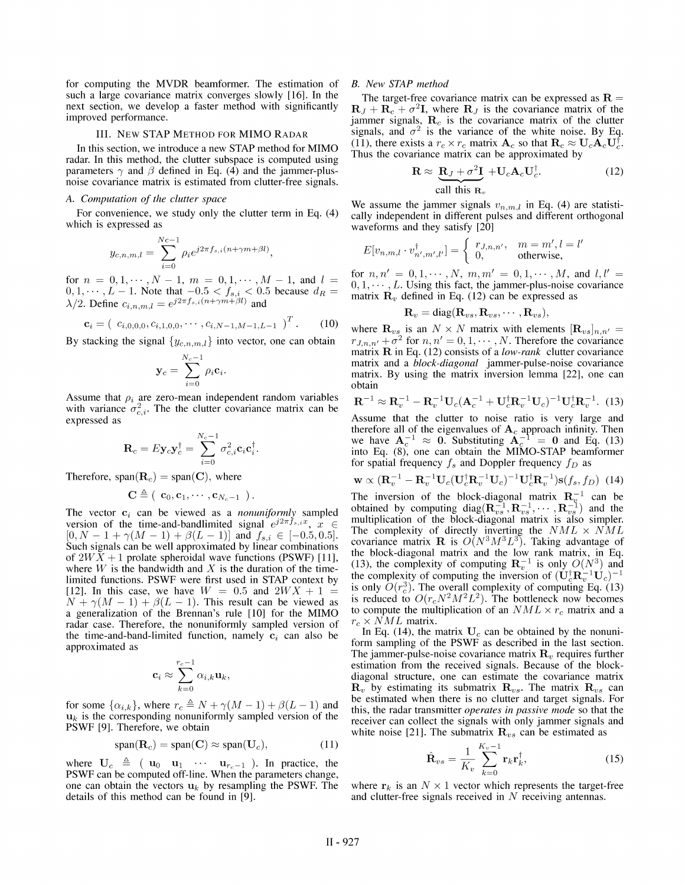for computing the MVDR beamformer. The estimation of such a large covariance matrix converges slowly [16]. In the next section, we develop <sup>a</sup> faster method with significantly improved performance.

# III. NEW STAP METHOD FOR MIMO RADAR

In this section, we introduce <sup>a</sup> new STAP method for MIMO radar. In this method, the clutter subspace is computed using parameters  $\gamma$  and  $\beta$  defined in Eq. (4) and the jammer-plusnoise covariance matrix is estimated from clutter-free signals.

#### A. Computation of the clutter space

For convenience, we study only the clutter term in Eq. (4) which is expressed as

$$
y_{c,n,m,l} = \sum_{i=0}^{Nc-1} \rho_i e^{j2\pi f_{s,i}(n+\gamma m+\beta l)},
$$

for  $n = 0, 1, \dots, N - 1, m = 0, 1, \dots, M - 1$ , and  $l =$  $0,1,\dots, L-1$ . Note that  $-0.5 < f_{s,i} < 0.5$  because  $d_R =$  $\lambda/2$ . Define  $c_{i,n,m,l} = e^{j2\pi f_{s,i}(n+\gamma m+\beta l)}$  and

$$
\mathbf{c}_i = (c_{i,0,0,0}, c_{i,1,0,0}, \cdots, c_{i,N-1,M-1,L-1})^T. \quad (10)
$$

By stacking the signal  $\{y_{c,n,m,l}\}\$  into vector, one can obtain

$$
\mathbf{y}_c = \sum_{i=0}^{N_c-1} \rho_i \mathbf{c}_i.
$$

Assume that  $\rho_i$  are zero-mean independent random variables with variance  $\sigma_{c,i}^2$ . The the clutter covariance matrix can be expressed as

$$
\mathbf{R}_c = E\mathbf{y}_c\mathbf{y}_c^\dagger = \sum_{i=0}^{N_c-1} \sigma_{c,i}^2 \mathbf{c}_i \mathbf{c}_i^\dagger.
$$

Therefore,  $span(\mathbf{R}_c) = span(\mathbf{C})$ , where

$$
\mathbf{C} \triangleq (\begin{array}{l} \mathbf{c}_0, \mathbf{c}_1, \cdots, \mathbf{c}_{N_c-1} \end{array}).
$$

The vector  $c_i$  can be viewed as a *nonuniformly* sampled version of the time-and-bandlimited signal  $e^{j2\pi \tilde{f}_{s,i}x}$ ,  $x \in$  $[0, N - 1 + \gamma(M - 1) + \beta(L - 1)]$  and  $f_{s,i} \in [-0.5, 0.5]$ . Such signals can be well approximated by linear combinations of  $2WX + 1$  prolate spheroidal wave functions (PSWF) [11], where W is the bandwidth and X is the duration of the timelimited functions. PSWF were first used in STAP context by [12]. In this case, we have  $W = 0.5$  and  $2WX + 1 =$  $N + \gamma(M - 1) + \beta(L - 1)$ . This result can be viewed as <sup>a</sup> generalization of the Brennan's rule [10] for the MIMO radar case. Therefore, the nonuniformly sampled version of the time-and-band-limited function, namely  $c_i$  can also be approximated as

$$
\mathbf{c}_i \approx \sum_{k=0}^{r_c-1} \alpha_{i,k} \mathbf{u}_k,
$$

for some  $\{\alpha_{i,k}\}\text{, where }r_c \triangleq N + \gamma(M-1) + \beta(L-1)$  and  $\mathbf{u}_k$  is the corresponding nonuniformly sampled version of the PSWF [9]. Therefore, we obtain

$$
span(\mathbf{R}_c) = span(\mathbf{C}) \approx span(\mathbf{U}_c), \tag{11}
$$

where  $U_c \triangleq (u_0 \ u_1 \ \cdots \ u_{r_c-1})$ . In practice, the PSWF can be computed off-line. When the parameters change, one can obtain the vectors  $u_k$  by resampling the PSWF. The details of this method can be found in [9].

# B. New STAP method

The target-free covariance matrix can be expressed as  $\mathbf{R} =$  $\mathbf{R}_J + \mathbf{R}_c + \sigma^2 \mathbf{I}$ , where  $\mathbf{R}_J$  is the covariance matrix of the jammer signals,  $\mathbf{R}_c$  is the covariance matrix of the clutter signals, and  $\sigma^2$  is the variance of the white noise. By Eq. (11), there exists a  $r_c \times r_c$  matrix  $\mathbf{A}_c$  so that  $\mathbf{R}_c \approx \mathbf{U}_c \mathbf{A}_c \mathbf{U}_c^{\dagger}$ . Thus the covariance matrix can be approximated by

$$
\mathbf{R} \approx \underbrace{\mathbf{R}_J + \sigma^2 \mathbf{I}}_{\text{call this } \mathbf{R}_v} + \mathbf{U}_c \mathbf{A}_c \mathbf{U}_c^{\dagger}.
$$
 (12)

We assume the jammer signals  $v_{n,m,l}$  in Eq. (4) are statistically independent in different pulses and different orthogonal waveforms and they satisfy [20]

$$
E[v_{n,m,l} \cdot v_{n',m',l'}^{\dagger}] = \begin{cases} r_{J,n,n'} , & m = m', l = l' \\ 0, & \text{otherwise,} \end{cases}
$$

for  $n, n' = 0, 1, \cdots, N, m, m' = 0, 1, \cdots, M$ , and  $l, l' =$  $0, 1, \dots, L$ . Using this fact, the jammer-plus-noise covariance matrix  $\mathbf{R}_v$  defined in Eq. (12) can be expressed as

$$
\mathbf{R}_v = \text{diag}(\mathbf{R}_{vs}, \mathbf{R}_{vs}, \cdots, \mathbf{R}_{vs}),
$$

where  $\mathbf{R}_{vs}$  is an  $N \times N$  matrix with elements  $[\mathbf{R}_{vs}]_{n,n'} =$  $r_{J,n,n'} + \sigma^2$  for  $n, n' = 0, 1, \cdots, N$ . Therefore the covariance matrix  $\bf{R}$  in Eq. (12) consists of a *low-rank* clutter covariance matrix and a *block-diagonal* jammer-pulse-noise covariance matrix. By using the matrix inversion lemma [22], one can obtain

$$
\mathbf{R}^{-1} \approx \mathbf{R}_v^{-1} - \mathbf{R}_v^{-1} \mathbf{U}_c (\mathbf{A}_c^{-1} + \mathbf{U}_c^{\dagger} \mathbf{R}_v^{-1} \mathbf{U}_c)^{-1} \mathbf{U}_c^{\dagger} \mathbf{R}_v^{-1}.
$$
 (13)

Assume that the clutter to noise ratio is very large and therefore all of the eigenvalues of  $A_c$  approach infinity. Then we have  $A_c^{-1} \approx 0$ . Substituting  $A_c^{-1} = 0$  and Eq. (13) into Eq. (8), one can obtain the MIMO-STAP beamformer for spatial frequency  $f_s$  and Doppler frequency  $f_D$  as

$$
\mathbf{w} \propto (\mathbf{R}_v^{-1} - \mathbf{R}_v^{-1} \mathbf{U}_c (\mathbf{U}_c^{\dagger} \mathbf{R}_v^{-1} \mathbf{U}_c)^{-1} \mathbf{U}_c^{\dagger} \mathbf{R}_v^{-1}) \mathbf{s}(f_s, f_D) \tag{14}
$$

The inversion of the block-diagonal matrix  $\mathbf{R}_v^{-1}$  can be obtained by computing diag $(R_{vs}^{-1},R_{vs}^{-1},\cdots,R_{vs}^{-1})$  and the multiplication of the block-diagonal matrix is also simpler. The complexity of directly inverting the  $NML \times NML$ covariance matrix **R** is  $O(N^3M^3L^3)$ . Taking advantage of the block-diagonal matrix and the low rank matrix, in Eq. (13), the complexity of computing  $\mathbb{R}_{v}^{-1}$  is only  $O(N^{3})$  and the complexity of computing the inversion of  $(\mathbf{U}_c^{\dagger} \mathbf{R}_v^{-1} \mathbf{U}_c)^{-1}$ is only  $O(r_a^3)$ . The overall complexity of computing Eq. (13) is reduced to  $O(r_cN^2M^2L^2)$ . The bottleneck now becomes to compute the multiplication of an  $NML \times r_c$  matrix and a  $r_c \times \dot{N}ML$  matrix.

In Eq. (14), the matrix  $U_c$  can be obtained by the nonuniform sampling of the PSWF as described in the last section. The jammer-pulse-noise covariance matrix  $\mathbf{R}_v$  requires further estimation from the received signals. Because of the blockdiagonal structure, one can estimate the covariance matrix  $\mathbf{R}_{v}$  by estimating its submatrix  $\mathbf{R}_{vs}$ . The matrix  $\mathbf{R}_{vs}$  can be estimated when there is no clutter and target signals. For this, the radar transmitter operates in passive mode so that the receiver can collect the signals with only jammer signals and white noise [21]. The submatrix  $\mathbf{R}_{vs}$  can be estimated as

$$
\hat{\mathbf{R}}_{vs} = \frac{1}{K_v} \sum_{k=0}^{K_v - 1} \mathbf{r}_k \mathbf{r}_k^{\dagger},
$$
\n(15)

where  $r_k$  is an  $N \times 1$  vector which represents the target-free and clutter-free signals received in N receiving antennas.